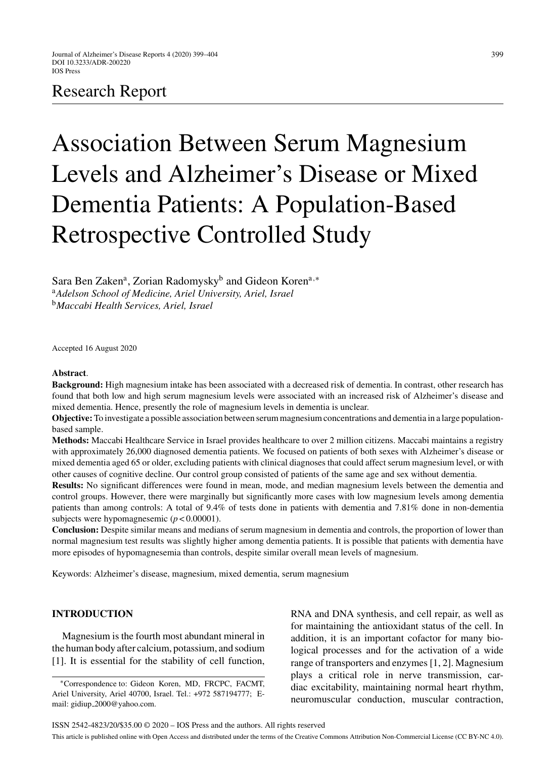## Research Report

# Association Between Serum Magnesium Levels and Alzheimer's Disease or Mixed Dementia Patients: A Population-Based Retrospective Controlled Study

Sara Ben Zaken<sup>a</sup>, Zorian Radomysky<sup>b</sup> and Gideon Koren<sup>a,∗</sup> <sup>a</sup>*Adelson School of Medicine, Ariel University, Ariel, Israel* <sup>b</sup>*Maccabi Health Services, Ariel, Israel*

Accepted 16 August 2020

#### **Abstract**.

**Background:** High magnesium intake has been associated with a decreased risk of dementia. In contrast, other research has found that both low and high serum magnesium levels were associated with an increased risk of Alzheimer's disease and mixed dementia. Hence, presently the role of magnesium levels in dementia is unclear.

**Objective:**To investigate a possible association between serum magnesium concentrations and dementia in a large populationbased sample.

**Methods:** Maccabi Healthcare Service in Israel provides healthcare to over 2 million citizens. Maccabi maintains a registry with approximately 26,000 diagnosed dementia patients. We focused on patients of both sexes with Alzheimer's disease or mixed dementia aged 65 or older, excluding patients with clinical diagnoses that could affect serum magnesium level, or with other causes of cognitive decline. Our control group consisted of patients of the same age and sex without dementia.

**Results:** No significant differences were found in mean, mode, and median magnesium levels between the dementia and control groups. However, there were marginally but significantly more cases with low magnesium levels among dementia patients than among controls: A total of 9.4% of tests done in patients with dementia and 7.81% done in non-dementia subjects were hypomagnesemic (*p* < 0.00001).

**Conclusion:** Despite similar means and medians of serum magnesium in dementia and controls, the proportion of lower than normal magnesium test results was slightly higher among dementia patients. It is possible that patients with dementia have more episodes of hypomagnesemia than controls, despite similar overall mean levels of magnesium.

Keywords: Alzheimer's disease, magnesium, mixed dementia, serum magnesium

### **INTRODUCTION**

Magnesium is the fourth most abundant mineral in the human body after calcium, potassium, and sodium [1]. It is essential for the stability of cell function, RNA and DNA synthesis, and cell repair, as well as for maintaining the antioxidant status of the cell. In addition, it is an important cofactor for many biological processes and for the activation of a wide range of transporters and enzymes [1, 2]. Magnesium plays a critical role in nerve transmission, cardiac excitability, maintaining normal heart rhythm, neuromuscular conduction, muscular contraction,

<sup>∗</sup>Correspondence to: Gideon Koren, MD, FRCPC, FACMT, Ariel University, Ariel 40700, Israel. Tel.: +972 587194777; Email: gidiup [2000@yahoo.com](mailto:gidiup_2000@yahoo.com).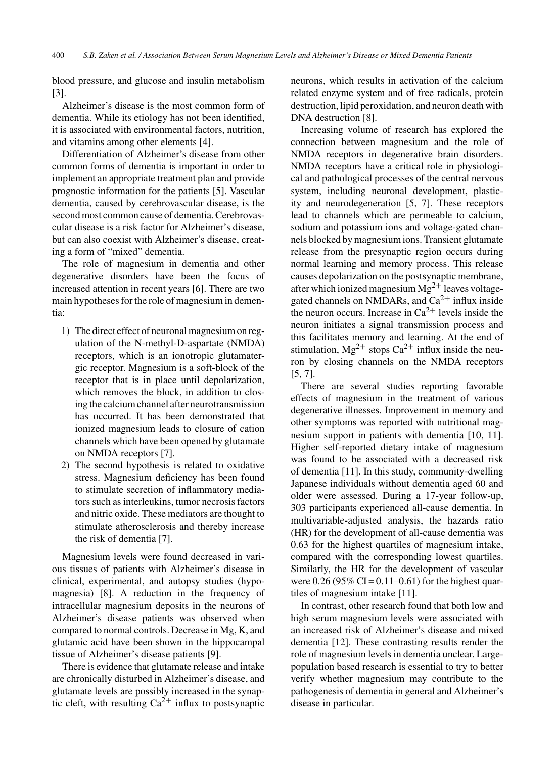blood pressure, and glucose and insulin metabolism [3].

Alzheimer's disease is the most common form of dementia. While its etiology has not been identified, it is associated with environmental factors, nutrition, and vitamins among other elements [4].

Differentiation of Alzheimer's disease from other common forms of dementia is important in order to implement an appropriate treatment plan and provide prognostic information for the patients [5]. Vascular dementia, caused by cerebrovascular disease, is the second most common cause of dementia. Cerebrovascular disease is a risk factor for Alzheimer's disease, but can also coexist with Alzheimer's disease, creating a form of "mixed" dementia.

The role of magnesium in dementia and other degenerative disorders have been the focus of increased attention in recent years [6]. There are two main hypotheses for the role of magnesium in dementia:

- 1) The direct effect of neuronal magnesium on regulation of the N-methyl-D-aspartate (NMDA) receptors, which is an ionotropic glutamatergic receptor. Magnesium is a soft-block of the receptor that is in place until depolarization, which removes the block, in addition to closing the calcium channel after neurotransmission has occurred. It has been demonstrated that ionized magnesium leads to closure of cation channels which have been opened by glutamate on NMDA receptors [7].
- 2) The second hypothesis is related to oxidative stress. Magnesium deficiency has been found to stimulate secretion of inflammatory mediators such as interleukins, tumor necrosis factors and nitric oxide. These mediators are thought to stimulate atherosclerosis and thereby increase the risk of dementia [7].

Magnesium levels were found decreased in various tissues of patients with Alzheimer's disease in clinical, experimental, and autopsy studies (hypomagnesia) [8]. A reduction in the frequency of intracellular magnesium deposits in the neurons of Alzheimer's disease patients was observed when compared to normal controls. Decrease in Mg, K, and glutamic acid have been shown in the hippocampal tissue of Alzheimer's disease patients [9].

There is evidence that glutamate release and intake are chronically disturbed in Alzheimer's disease, and glutamate levels are possibly increased in the synaptic cleft, with resulting  $Ca^{2+}$  influx to postsynaptic

neurons, which results in activation of the calcium related enzyme system and of free radicals, protein destruction, lipid peroxidation, and neuron death with DNA destruction [8].

Increasing volume of research has explored the connection between magnesium and the role of NMDA receptors in degenerative brain disorders. NMDA receptors have a critical role in physiological and pathological processes of the central nervous system, including neuronal development, plasticity and neurodegeneration [5, 7]. These receptors lead to channels which are permeable to calcium, sodium and potassium ions and voltage-gated channels blocked by magnesium ions. Transient glutamate release from the presynaptic region occurs during normal learning and memory process. This release causes depolarization on the postsynaptic membrane, after which ionized magnesium  $Mg^{2+}$  leaves voltagegated channels on NMDARs, and  $Ca^{2+}$  influx inside the neuron occurs. Increase in  $Ca^{2+}$  levels inside the neuron initiates a signal transmission process and this facilitates memory and learning. At the end of stimulation,  $Mg^{2+}$  stops  $Ca^{2+}$  influx inside the neuron by closing channels on the NMDA receptors [5, 7].

There are several studies reporting favorable effects of magnesium in the treatment of various degenerative illnesses. Improvement in memory and other symptoms was reported with nutritional magnesium support in patients with dementia [10, 11]. Higher self-reported dietary intake of magnesium was found to be associated with a decreased risk of dementia [11]. In this study, community-dwelling Japanese individuals without dementia aged 60 and older were assessed. During a 17-year follow-up, 303 participants experienced all-cause dementia. In multivariable-adjusted analysis, the hazards ratio (HR) for the development of all-cause dementia was 0.63 for the highest quartiles of magnesium intake, compared with the corresponding lowest quartiles. Similarly, the HR for the development of vascular were  $0.26$  (95% CI = 0.11–0.61) for the highest quartiles of magnesium intake [11].

In contrast, other research found that both low and high serum magnesium levels were associated with an increased risk of Alzheimer's disease and mixed dementia [12]. These contrasting results render the role of magnesium levels in dementia unclear. Largepopulation based research is essential to try to better verify whether magnesium may contribute to the pathogenesis of dementia in general and Alzheimer's disease in particular.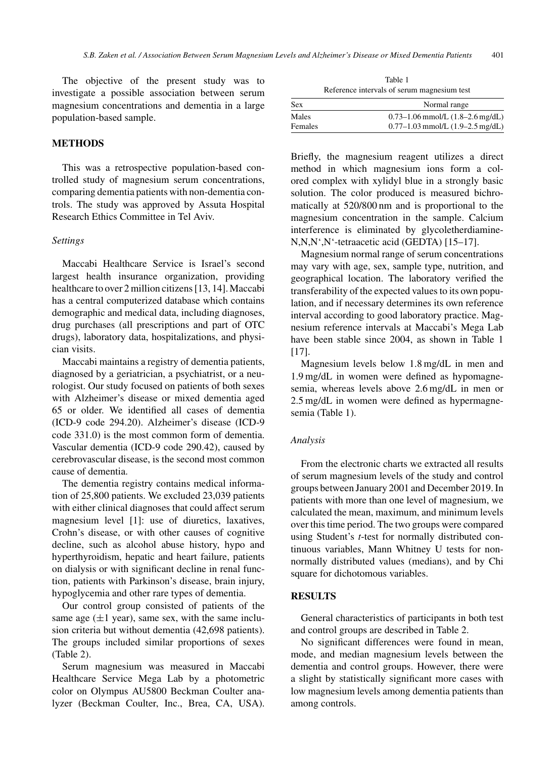The objective of the present study was to investigate a possible association between serum magnesium concentrations and dementia in a large population-based sample.

#### **METHODS**

This was a retrospective population-based controlled study of magnesium serum concentrations, comparing dementia patients with non-dementia controls. The study was approved by Assuta Hospital Research Ethics Committee in Tel Aviv.

#### *Settings*

Maccabi Healthcare Service is Israel's second largest health insurance organization, providing healthcare to over 2 million citizens [13, 14]. Maccabi has a central computerized database which contains demographic and medical data, including diagnoses, drug purchases (all prescriptions and part of OTC drugs), laboratory data, hospitalizations, and physician visits.

Maccabi maintains a registry of dementia patients, diagnosed by a geriatrician, a psychiatrist, or a neurologist. Our study focused on patients of both sexes with Alzheimer's disease or mixed dementia aged 65 or older. We identified all cases of dementia (ICD-9 code 294.20). Alzheimer's disease (ICD-9 code 331.0) is the most common form of dementia. Vascular dementia (ICD-9 code 290.42), caused by cerebrovascular disease, is the second most common cause of dementia.

The dementia registry contains medical information of 25,800 patients. We excluded 23,039 patients with either clinical diagnoses that could affect serum magnesium level [1]: use of diuretics, laxatives, Crohn's disease, or with other causes of cognitive decline, such as alcohol abuse history, hypo and hyperthyroidism, hepatic and heart failure, patients on dialysis or with significant decline in renal function, patients with Parkinson's disease, brain injury, hypoglycemia and other rare types of dementia.

Our control group consisted of patients of the same age  $(\pm 1$  year), same sex, with the same inclusion criteria but without dementia (42,698 patients). The groups included similar proportions of sexes (Table 2).

Serum magnesium was measured in Maccabi Healthcare Service Mega Lab by a photometric color on Olympus AU5800 Beckman Coulter analyzer (Beckman Coulter, Inc., Brea, CA, USA).

Table 1 Reference intervals of serum magnesium test

| <b>Sex</b> | Normal range                         |  |
|------------|--------------------------------------|--|
| Males      | $0.73-1.06$ mmol/L $(1.8-2.6$ mg/dL) |  |
| Females    | $0.77-1.03$ mmol/L $(1.9-2.5$ mg/dL) |  |

Briefly, the magnesium reagent utilizes a direct method in which magnesium ions form a colored complex with xylidyl blue in a strongly basic solution. The color produced is measured bichromatically at 520/800 nm and is proportional to the magnesium concentration in the sample. Calcium interference is eliminated by glycoletherdiamine-N,N,N',N'-tetraacetic acid (GEDTA) [15–17].

Magnesium normal range of serum concentrations may vary with age, sex, sample type, nutrition, and geographical location. The laboratory verified the transferability of the expected values to its own population, and if necessary determines its own reference interval according to good laboratory practice. Magnesium reference intervals at Maccabi's Mega Lab have been stable since 2004, as shown in Table 1 [17].

Magnesium levels below 1.8 mg/dL in men and 1.9 mg/dL in women were defined as hypomagnesemia, whereas levels above 2.6 mg/dL in men or 2.5 mg/dL in women were defined as hypermagnesemia (Table 1).

#### *Analysis*

From the electronic charts we extracted all results of serum magnesium levels of the study and control groups between January 2001 and December 2019. In patients with more than one level of magnesium, we calculated the mean, maximum, and minimum levels over this time period. The two groups were compared using Student's *t*-test for normally distributed continuous variables, Mann Whitney U tests for nonnormally distributed values (medians), and by Chi square for dichotomous variables.

#### **RESULTS**

General characteristics of participants in both test and control groups are described in Table 2.

No significant differences were found in mean, mode, and median magnesium levels between the dementia and control groups. However, there were a slight by statistically significant more cases with low magnesium levels among dementia patients than among controls.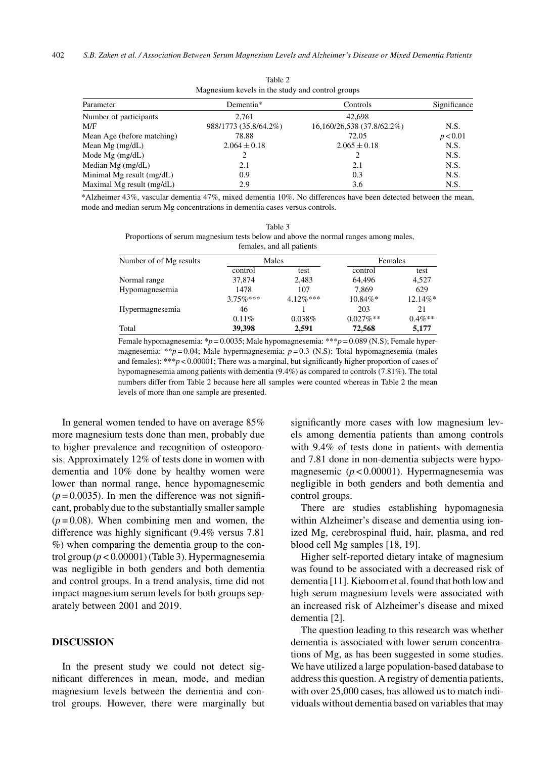| Magnesium kevels in the study and control groups |                       |                            |              |  |  |  |  |
|--------------------------------------------------|-----------------------|----------------------------|--------------|--|--|--|--|
| Parameter                                        | Dementia*             | Controls                   | Significance |  |  |  |  |
| Number of participants                           | 2.761                 | 42,698                     |              |  |  |  |  |
| M/F                                              | 988/1773 (35.8/64.2%) | 16,160/26,538 (37.8/62.2%) | N.S.         |  |  |  |  |
| Mean Age (before matching)                       | 78.88                 | 72.05                      | p < 0.01     |  |  |  |  |
| Mean Mg $(mg/dL)$                                | $2.064 \pm 0.18$      | $2.065 \pm 0.18$           | N.S.         |  |  |  |  |
| Mode $Mg$ (mg/dL)                                |                       |                            | N.S.         |  |  |  |  |
| Median Mg $(mg/dL)$                              | 2.1                   | 2.1                        | N.S.         |  |  |  |  |
| Minimal Mg result (mg/dL)                        | 0.9                   | 0.3                        | N.S.         |  |  |  |  |
| Maximal Mg result (mg/dL)                        | 2.9                   | 3.6                        | N.S.         |  |  |  |  |

Table 2

\*Alzheimer 43%, vascular dementia 47%, mixed dementia 10%. No differences have been detected between the mean, mode and median serum Mg concentrations in dementia cases versus controls.

Table 3 Proportions of serum magnesium tests below and above the normal ranges among males, females, and all patients

| Number of of Mg results | Males       |             | Females     |           |
|-------------------------|-------------|-------------|-------------|-----------|
|                         | control     | test        | control     | test      |
| Normal range            | 37,874      | 2,483       | 64,496      | 4,527     |
| Hypomagnesemia          | 1478        | 107         | 7.869       | 629       |
|                         | $3.75\%***$ | $4.12\%***$ | $10.84\%*$  | 12.14%*   |
| Hypermagnesemia         | 46          |             | 203         | 21        |
|                         | 0.11%       | 0.038%      | $0.027\%**$ | $0.4\%**$ |
| Total                   | 39,398      | 2,591       | 72,568      | 5,177     |

Female hypomagnesemia: \**p* = 0.0035; Male hypomagnesemia: \*\*\**p* = 0.089 (N.S); Female hypermagnesemia: \*\**p* = 0.04; Male hypermagnesemia: *p* = 0.3 (N.S); Total hypomagnesemia (males and females): \*\*\**p* < 0.00001; There was a marginal, but significantly higher proportion of cases of hypomagnesemia among patients with dementia (9.4%) as compared to controls (7.81%). The total numbers differ from Table 2 because here all samples were counted whereas in Table 2 the mean levels of more than one sample are presented.

In general women tended to have on average 85% more magnesium tests done than men, probably due to higher prevalence and recognition of osteoporosis. Approximately 12% of tests done in women with dementia and 10% done by healthy women were lower than normal range, hence hypomagnesemic  $(p=0.0035)$ . In men the difference was not significant, probably due to the substantially smaller sample  $(p=0.08)$ . When combining men and women, the difference was highly significant (9.4% versus 7.81 %) when comparing the dementia group to the control group  $(p < 0.00001)$  (Table 3). Hypermagnesemia was negligible in both genders and both dementia and control groups. In a trend analysis, time did not impact magnesium serum levels for both groups separately between 2001 and 2019.

#### **DISCUSSION**

In the present study we could not detect significant differences in mean, mode, and median magnesium levels between the dementia and control groups. However, there were marginally but significantly more cases with low magnesium levels among dementia patients than among controls with 9.4% of tests done in patients with dementia and 7.81 done in non-dementia subjects were hypomagnesemic (*p* < 0.00001). Hypermagnesemia was negligible in both genders and both dementia and control groups.

There are studies establishing hypomagnesia within Alzheimer's disease and dementia using ionized Mg, cerebrospinal fluid, hair, plasma, and red blood cell Mg samples [18, 19].

Higher self-reported dietary intake of magnesium was found to be associated with a decreased risk of dementia [11]. Kieboom et al. found that both low and high serum magnesium levels were associated with an increased risk of Alzheimer's disease and mixed dementia [2].

The question leading to this research was whether dementia is associated with lower serum concentrations of Mg, as has been suggested in some studies. We have utilized a large population-based database to address this question. A registry of dementia patients, with over 25,000 cases, has allowed us to match individuals without dementia based on variables that may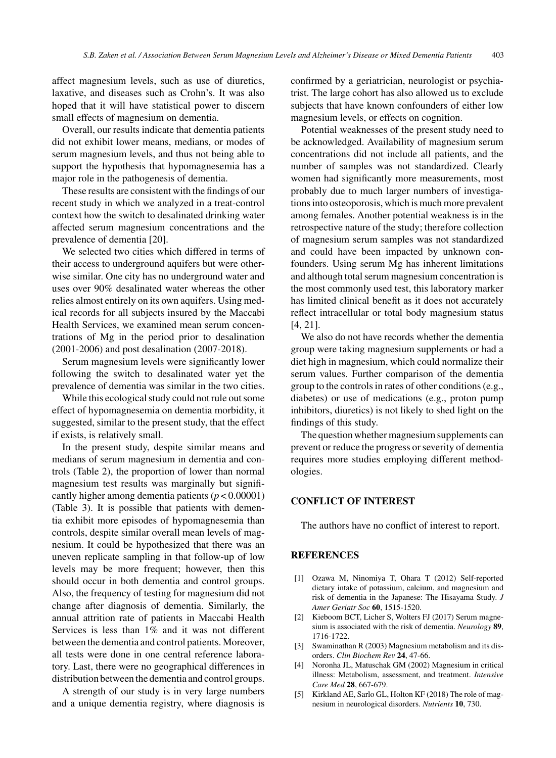affect magnesium levels, such as use of diuretics, laxative, and diseases such as Crohn's. It was also hoped that it will have statistical power to discern small effects of magnesium on dementia.

Overall, our results indicate that dementia patients did not exhibit lower means, medians, or modes of serum magnesium levels, and thus not being able to support the hypothesis that hypomagnesemia has a major role in the pathogenesis of dementia.

These results are consistent with the findings of our recent study in which we analyzed in a treat-control context how the switch to desalinated drinking water affected serum magnesium concentrations and the prevalence of dementia [20].

We selected two cities which differed in terms of their access to underground aquifers but were otherwise similar. One city has no underground water and uses over 90% desalinated water whereas the other relies almost entirely on its own aquifers. Using medical records for all subjects insured by the Maccabi Health Services, we examined mean serum concentrations of Mg in the period prior to desalination (2001-2006) and post desalination (2007-2018).

Serum magnesium levels were significantly lower following the switch to desalinated water yet the prevalence of dementia was similar in the two cities.

While this ecological study could not rule out some effect of hypomagnesemia on dementia morbidity, it suggested, similar to the present study, that the effect if exists, is relatively small.

In the present study, despite similar means and medians of serum magnesium in dementia and controls (Table 2), the proportion of lower than normal magnesium test results was marginally but significantly higher among dementia patients  $(p < 0.00001)$ (Table 3). It is possible that patients with dementia exhibit more episodes of hypomagnesemia than controls, despite similar overall mean levels of magnesium. It could be hypothesized that there was an uneven replicate sampling in that follow-up of low levels may be more frequent; however, then this should occur in both dementia and control groups. Also, the frequency of testing for magnesium did not change after diagnosis of dementia. Similarly, the annual attrition rate of patients in Maccabi Health Services is less than 1% and it was not different between the dementia and control patients. Moreover, all tests were done in one central reference laboratory. Last, there were no geographical differences in distribution between the dementia and control groups.

A strength of our study is in very large numbers and a unique dementia registry, where diagnosis is confirmed by a geriatrician, neurologist or psychiatrist. The large cohort has also allowed us to exclude subjects that have known confounders of either low magnesium levels, or effects on cognition.

Potential weaknesses of the present study need to be acknowledged. Availability of magnesium serum concentrations did not include all patients, and the number of samples was not standardized. Clearly women had significantly more measurements, most probably due to much larger numbers of investigations into osteoporosis, which is much more prevalent among females. Another potential weakness is in the retrospective nature of the study; therefore collection of magnesium serum samples was not standardized and could have been impacted by unknown confounders. Using serum Mg has inherent limitations and although total serum magnesium concentration is the most commonly used test, this laboratory marker has limited clinical benefit as it does not accurately reflect intracellular or total body magnesium status [4, 21].

We also do not have records whether the dementia group were taking magnesium supplements or had a diet high in magnesium, which could normalize their serum values. Further comparison of the dementia group to the controls in rates of other conditions (e.g., diabetes) or use of medications (e.g., proton pump inhibitors, diuretics) is not likely to shed light on the findings of this study.

The question whether magnesium supplements can prevent or reduce the progress or severity of dementia requires more studies employing different methodologies.

### **CONFLICT OF INTEREST**

The authors have no conflict of interest to report.

#### **REFERENCES**

- [1] Ozawa M, Ninomiya T, Ohara T (2012) Self-reported dietary intake of potassium, calcium, and magnesium and risk of dementia in the Japanese: The Hisayama Study. *J Amer Geriatr Soc* **60**, 1515-1520.
- [2] Kieboom BCT, Licher S, Wolters FJ (2017) Serum magnesium is associated with the risk of dementia. *Neurology* **89**, 1716-1722.
- [3] Swaminathan R (2003) Magnesium metabolism and its disorders. *Clin Biochem Rev* **24**, 47-66.
- [4] Noronha JL, Matuschak GM (2002) Magnesium in critical illness: Metabolism, assessment, and treatment. *Intensive Care Med* **28**, 667-679.
- [5] Kirkland AE, Sarlo GL, Holton KF (2018) The role of magnesium in neurological disorders. *Nutrients* **10**, 730.